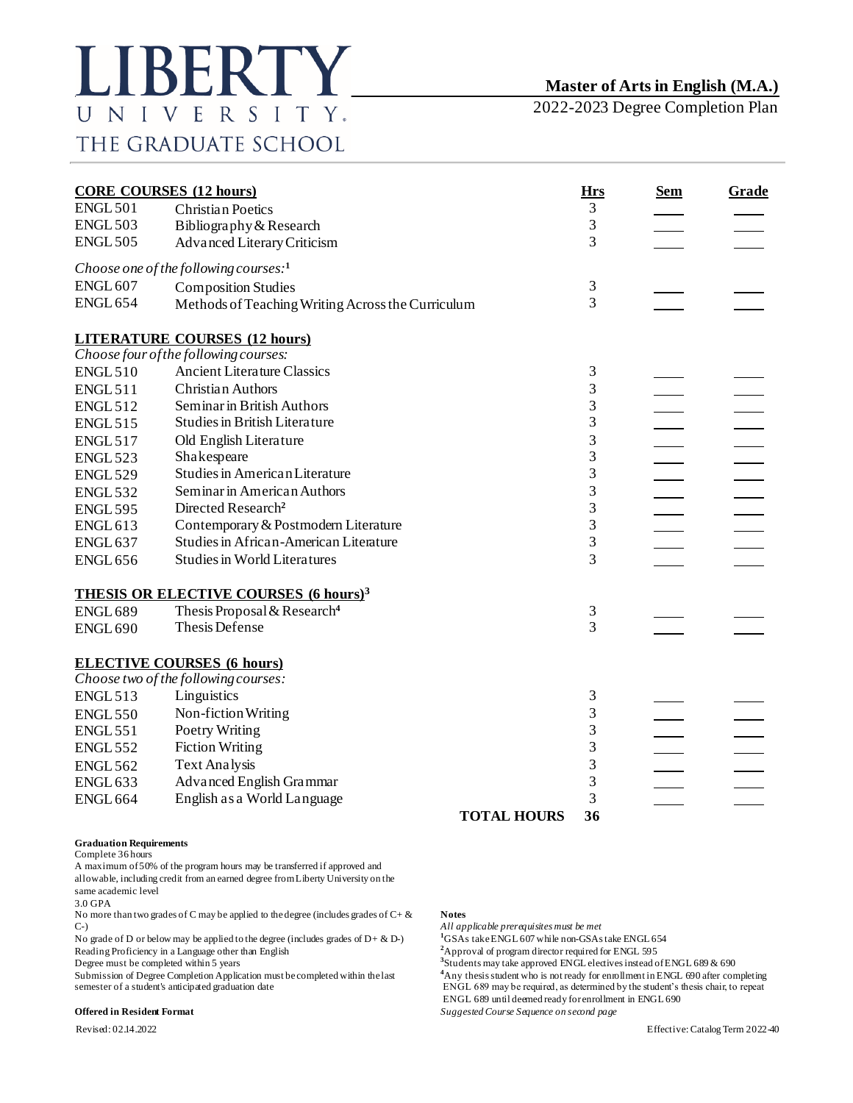2022-2023 Degree Completion Plan

| <b>CORE COURSES (12 hours)</b> |                                                         | <b>Hrs</b>     | <u>Sem</u> | <b>Grade</b> |
|--------------------------------|---------------------------------------------------------|----------------|------------|--------------|
| <b>ENGL 501</b>                | <b>Christian Poetics</b>                                | 3              |            |              |
| <b>ENGL 503</b>                | Bibliography & Research                                 | 3              |            |              |
| <b>ENGL 505</b>                | <b>Advanced Literary Criticism</b>                      | 3              |            |              |
|                                | Choose one of the following courses: <sup>1</sup>       |                |            |              |
| <b>ENGL 607</b>                | <b>Composition Studies</b>                              | $\mathfrak{Z}$ |            |              |
| <b>ENGL 654</b>                | Methods of Teaching Writing Across the Curriculum       | $\overline{3}$ |            |              |
|                                | <b>LITERATURE COURSES (12 hours)</b>                    |                |            |              |
|                                | Choose four of the following courses:                   |                |            |              |
| <b>ENGL510</b>                 | <b>Ancient Literature Classics</b>                      | 3              |            |              |
| <b>ENGL 511</b>                | <b>Christian Authors</b>                                | 3              |            |              |
| <b>ENGL 512</b>                | Seminar in British Authors                              | 3              |            |              |
| <b>ENGL515</b>                 | <b>Studies in British Literature</b>                    | 3              |            |              |
| <b>ENGL 517</b>                | Old English Literature                                  | 3              |            |              |
| <b>ENGL 523</b>                | Shakespeare                                             | 3              |            |              |
| <b>ENGL 529</b>                | Studies in American Literature                          | 3              |            |              |
| <b>ENGL 532</b>                | Seminar in American Authors                             | 3              |            |              |
| <b>ENGL 595</b>                | Directed Research <sup>2</sup>                          | 3              |            |              |
| <b>ENGL 613</b>                | Contemporary & Postmodern Literature                    | 3              |            |              |
| <b>ENGL 637</b>                | Studies in African-American Literature                  | 3              |            |              |
| <b>ENGL 656</b>                | <b>Studies in World Literatures</b>                     | 3              |            |              |
|                                | <b>THESIS OR ELECTIVE COURSES (6 hours)<sup>3</sup></b> |                |            |              |
| <b>ENGL 689</b>                | Thesis Proposal & Research <sup>4</sup>                 | 3              |            |              |
| <b>ENGL 690</b>                | Thesis Defense                                          | 3              |            |              |
|                                | <b>ELECTIVE COURSES (6 hours)</b>                       |                |            |              |
|                                | Choose two of the following courses:                    |                |            |              |
| <b>ENGL 513</b>                | Linguistics                                             | 3              |            |              |
| <b>ENGL 550</b>                | Non-fiction Writing                                     | 3              |            |              |
| <b>ENGL 551</b>                | Poetry Writing                                          | 3              |            |              |
| <b>ENGL 552</b>                | <b>Fiction Writing</b>                                  | 3              |            |              |
| <b>ENGL 562</b>                | Text Analysis                                           | 3              |            |              |
| <b>ENGL 633</b>                | Advanced English Grammar                                | 3              |            |              |
| <b>ENGL 664</b>                | English as a World Language                             | 3              |            |              |
|                                | <b>TOTAL HOURS</b>                                      | 36             |            |              |

### **Graduation Requirements**

Complete 36 hours

A maximum of 50% of the program hours may be transferred if approved and allowable, including credit from an earned degree from Liberty University on the same academic level

3.0 GPA

No more than two grades of C may be applied to the degree (includes grades of C+ & **Notes** C-) *All applicable prerequisites must be met*

No grade of D or below may be applied to the degree (includes grades of  $D + \& D$ -) Reading Proficiency in a Language other than English **<sup>2</sup>**Approval of program director required for ENGL 595

Degree must be completed within 5 years<br>Submission of Degree Completion Application must be completed within the last

<sup>1</sup>GSAs take ENGL 607 while non-GSAs take ENGL 654

<sup>3</sup>Students may take approved ENGL electives instead of ENGL 689 & 690 Submission of Degree Completion Application must be completed within the last **4**Any thesis student who is not ready for enrollment in ENGL 690 after completing<br>ENGL 689 may be required, as determined by the student's thes ENGL 689 may be required, as determined by the student's thesis chair, to repeat

ENGL 689 until deemed ready for enrollment in ENGL 690

**Offered in Resident Format** *Suggested Course Sequence on second page*